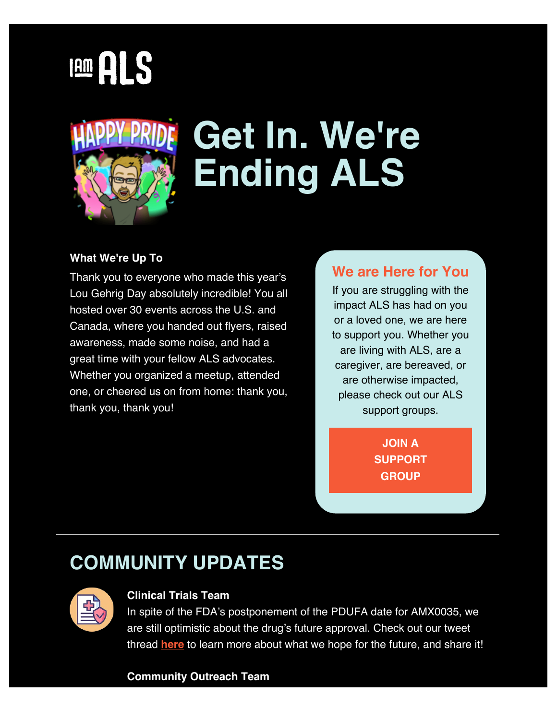# **IAM ALS**



## **Get In. We're Ending ALS**

#### **What We're Up To**

Thank you to everyone who made this year's Lou Gehrig Day absolutely incredible! You all hosted over 30 events across the U.S. and Canada, where you handed out flyers, raised awareness, made some noise, and had a great time with your fellow ALS advocates. Whether you organized a meetup, attended one, or cheered us on from home: thank you, thank you, thank you!

#### **We are Here for You**

If you are struggling with the impact ALS has had on you or a loved one, we are here to support you. Whether you are living with ALS, are a caregiver, are bereaved, or are otherwise impacted, please check out our ALS support groups.

> **[JOIN A](https://iamals.org/action/join-a-support-group/?contactdata={{ContactData}}&emci=ca2a9f8d-d5e8-ec11-b47a-281878b83d8a&emdi=ea000000-0000-0000-0000-000000000001&ceid={{ContactsEmailID}}) [SUPPORT](https://iamals.org/action/join-a-support-group/?contactdata={{ContactData}}&emci=ca2a9f8d-d5e8-ec11-b47a-281878b83d8a&emdi=ea000000-0000-0000-0000-000000000001&ceid={{ContactsEmailID}}) [GROUP](https://iamals.org/action/join-a-support-group/?contactdata={{ContactData}}&emci=ca2a9f8d-d5e8-ec11-b47a-281878b83d8a&emdi=ea000000-0000-0000-0000-000000000001&ceid={{ContactsEmailID}})**

### **COMMUNITY UPDATES**



#### **Clinical Trials Team**

In spite of the FDA's postponement of the PDUFA date for AMX0035, we are still optimistic about the drug's future approval. Check out our tweet thread **[here](https://twitter.com/iamalsorg/status/1532848320036712456?emci=ca2a9f8d-d5e8-ec11-b47a-281878b83d8a&emdi=ea000000-0000-0000-0000-000000000001&ceid={{ContactsEmailID}})** to learn more about what we hope for the future, and share it!

#### **Community Outreach Team**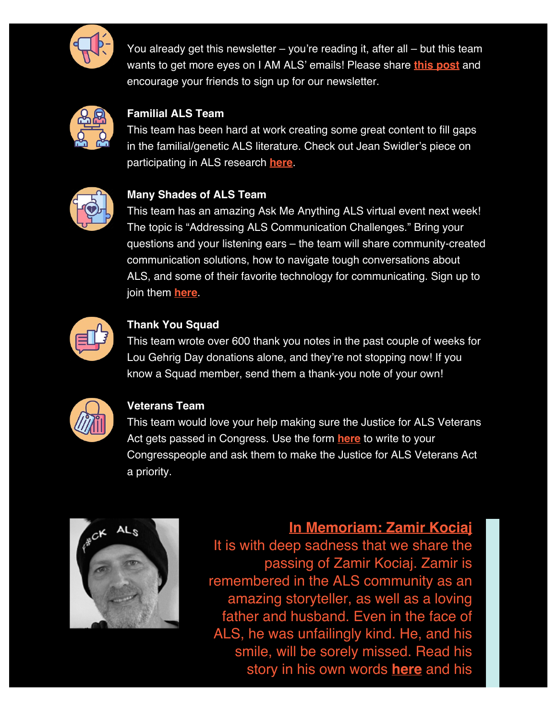

You already get this newsletter – you're reading it, after all – but this team wants to get more eyes on I AM ALS' emails! Please share **[this post](https://iamals.org/action/join-the-movement/?emci=ca2a9f8d-d5e8-ec11-b47a-281878b83d8a&emdi=ea000000-0000-0000-0000-000000000001&ceid={{ContactsEmailID}})** and encourage your friends to sign up for our newsletter.



#### **Familial ALS Team**

This team has been hard at work creating some great content to fill gaps in the familial/genetic ALS literature. Check out Jean Swidler's piece on participating in ALS research **[here](https://iamals.org/get-help/participating-in-als-research/?emci=ca2a9f8d-d5e8-ec11-b47a-281878b83d8a&emdi=ea000000-0000-0000-0000-000000000001&ceid={{ContactsEmailID}})**.



#### **Many Shades of ALS Team**

This team has an amazing Ask Me Anything ALS virtual event next week! The topic is "Addressing ALS Communication Challenges." Bring your questions and your listening ears – the team will share community-created communication solutions, how to navigate tough conversations about ALS, and some of their favorite technology for communicating. Sign up to join them **[here](https://iamals.org/action/ask-me-anything-als-addressing-als-communication-challenges/?emci=ca2a9f8d-d5e8-ec11-b47a-281878b83d8a&emdi=ea000000-0000-0000-0000-000000000001&ceid={{ContactsEmailID}})**.



#### **Thank You Squad**

This team wrote over 600 thank you notes in the past couple of weeks for Lou Gehrig Day donations alone, and they're not stopping now! If you know a Squad member, send them a thank-you note of your own!



#### **Veterans Team**

This team would love your help making sure the Justice for ALS Veterans Act gets passed in Congress. Use the form **[here](https://iamals.org/action/justice-for-als-veterans-act/?emci=ca2a9f8d-d5e8-ec11-b47a-281878b83d8a&emdi=ea000000-0000-0000-0000-000000000001&ceid={{ContactsEmailID}})** to write to your Congresspeople and ask them to make the Justice for ALS Veterans Act a priority.



**In Memoriam: Zamir Kociaj** It is with deep sadness that we share the passing of Zamir Kociaj. Zamir is remembered in the ALS community as an amazing storyteller, as well as a loving father and husband. Even in the face of ALS, he was unfailingly kind. He, and his smile, will be sorely missed. Read his

story in his own words **[here](https://iamals.org/stories/zamir-kociaj/?emci=ca2a9f8d-d5e8-ec11-b47a-281878b83d8a&emdi=ea000000-0000-0000-0000-000000000001&ceid={{ContactsEmailID}})** and his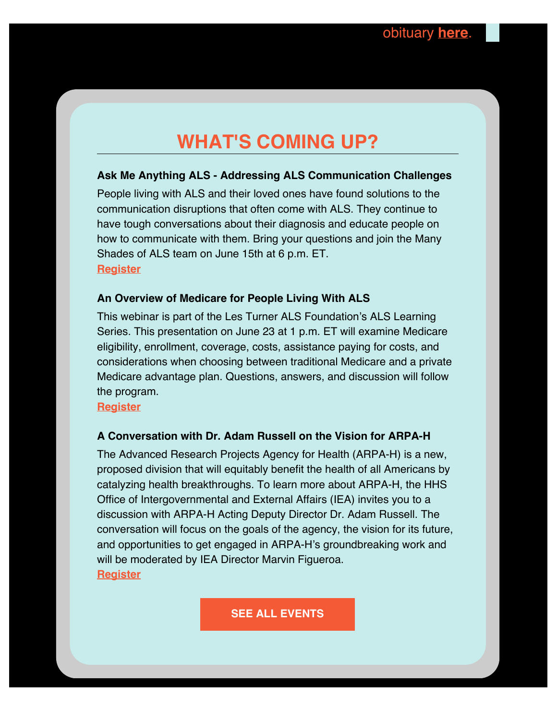### **WHAT'S COMING UP?**

#### **Ask Me Anything ALS - Addressing ALS Communication Challenges**

People living with ALS and their loved ones have found solutions to the communication disruptions that often come with ALS. They continue to have tough conversations about their diagnosis and educate people on how to communicate with them. Bring your questions and join the Many Shades of ALS team on June 15th at 6 p.m. ET. **[Register](https://iamals.org/action/ask-me-anything-als-addressing-als-communication-challenges/?emci=ca2a9f8d-d5e8-ec11-b47a-281878b83d8a&emdi=ea000000-0000-0000-0000-000000000001&ceid={{ContactsEmailID}})**

#### **An Overview of Medicare for People Living With ALS**

This webinar is part of the Les Turner ALS Foundation's ALS Learning Series. This presentation on June 23 at 1 p.m. ET will examine Medicare eligibility, enrollment, coverage, costs, assistance paying for costs, and considerations when choosing between traditional Medicare and a private Medicare advantage plan. Questions, answers, and discussion will follow the program.

**[Register](https://register.gotowebinar.com/register/8566254833327954446?emci=ca2a9f8d-d5e8-ec11-b47a-281878b83d8a&emdi=ea000000-0000-0000-0000-000000000001&ceid={{ContactsEmailID}})**

#### **A Conversation with Dr. Adam Russell on the Vision for ARPA-H**

The Advanced Research Projects Agency for Health (ARPA-H) is a new, proposed division that will equitably benefit the health of all Americans by catalyzing health breakthroughs. To learn more about ARPA-H, the HHS Office of Intergovernmental and External Affairs (IEA) invites you to a discussion with ARPA-H Acting Deputy Director Dr. Adam Russell. The conversation will focus on the goals of the agency, the vision for its future, and opportunities to get engaged in ARPA-H's groundbreaking work and will be moderated by IEA Director Marvin Figueroa. **[Register](https://www.zoomgov.com/webinar/register/WN_-5vh9pBOQrqsEBq0IajM3w?emci=ca2a9f8d-d5e8-ec11-b47a-281878b83d8a&emdi=ea000000-0000-0000-0000-000000000001&ceid={{ContactsEmailID}})**

**[SEE ALL EVENTS](https://iamals.org/action/als-calendar/?emci=ca2a9f8d-d5e8-ec11-b47a-281878b83d8a&emdi=ea000000-0000-0000-0000-000000000001&ceid={{ContactsEmailID}})**